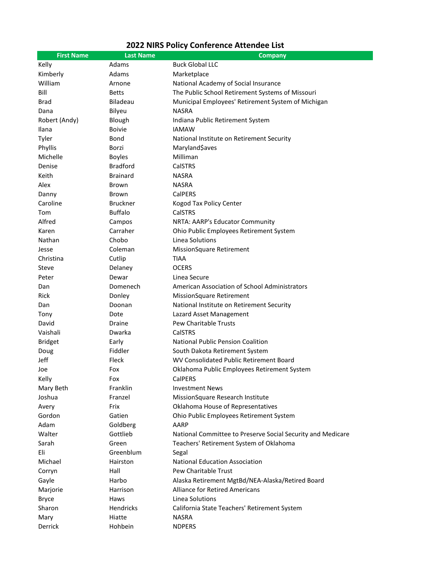## **2022 NIRS Policy Conference Attendee List**

| <b>First Name</b> | <b>Last Name</b> | <b>Company</b>                                              |
|-------------------|------------------|-------------------------------------------------------------|
| Kelly             | Adams            | <b>Buck Global LLC</b>                                      |
| Kimberly          | Adams            | Marketplace                                                 |
| William           | Arnone           | National Academy of Social Insurance                        |
| Bill              | <b>Betts</b>     | The Public School Retirement Systems of Missouri            |
| <b>Brad</b>       | <b>Biladeau</b>  | Municipal Employees' Retirement System of Michigan          |
| Dana              | Bilyeu           | <b>NASRA</b>                                                |
| Robert (Andy)     | Blough           | Indiana Public Retirement System                            |
| Ilana             | <b>Boivie</b>    | <b>IAMAW</b>                                                |
| Tyler             | Bond             | National Institute on Retirement Security                   |
| Phyllis           | Borzi            | Maryland\$aves                                              |
| Michelle          | <b>Boyles</b>    | Milliman                                                    |
| Denise            | <b>Bradford</b>  | CalSTRS                                                     |
| Keith             | <b>Brainard</b>  | <b>NASRA</b>                                                |
| Alex              | <b>Brown</b>     | <b>NASRA</b>                                                |
| Danny             | Brown            | <b>CalPERS</b>                                              |
| Caroline          | <b>Bruckner</b>  | Kogod Tax Policy Center                                     |
| Tom               | <b>Buffalo</b>   | <b>CalSTRS</b>                                              |
| Alfred            | Campos           | NRTA: AARP's Educator Community                             |
| Karen             | Carraher         | Ohio Public Employees Retirement System                     |
| Nathan            | Chobo            | Linea Solutions                                             |
| Jesse             | Coleman          | MissionSquare Retirement                                    |
| Christina         | Cutlip           | <b>TIAA</b>                                                 |
| Steve             | Delaney          | <b>OCERS</b>                                                |
| Peter             | Dewar            | Linea Secure                                                |
| Dan               | Domenech         | American Association of School Administrators               |
| Rick              | Donley           | <b>MissionSquare Retirement</b>                             |
| Dan               | Doonan           | National Institute on Retirement Security                   |
| Tony              | Dote             | Lazard Asset Management                                     |
| David             | Draine           | Pew Charitable Trusts                                       |
| Vaishali          | Dwarka           | CalSTRS                                                     |
| <b>Bridget</b>    | Early            | National Public Pension Coalition                           |
| Doug              | Fiddler          | South Dakota Retirement System                              |
| Jeff              | Fleck            | WV Consolidated Public Retirement Board                     |
| Joe               | Fox              | Oklahoma Public Employees Retirement System                 |
| Kelly             | Fox              | CalPERS                                                     |
| Mary Beth         | Franklin         | <b>Investment News</b>                                      |
| Joshua            | Franzel          | MissionSquare Research Institute                            |
| Avery             | Frix             | Oklahoma House of Representatives                           |
| Gordon            | Gatien           | Ohio Public Employees Retirement System                     |
| Adam              | Goldberg         | AARP                                                        |
| Walter            | Gottlieb         | National Committee to Preserve Social Security and Medicare |
| Sarah             | Green            | Teachers' Retirement System of Oklahoma                     |
| Eli               | Greenblum        | Segal                                                       |
| Michael           | Hairston         | <b>National Education Association</b>                       |
| Corryn            | Hall             | <b>Pew Charitable Trust</b>                                 |
| Gayle             | Harbo            | Alaska Retirement MgtBd/NEA-Alaska/Retired Board            |
| Marjorie          | Harrison         | <b>Alliance for Retired Americans</b>                       |
| <b>Bryce</b>      | Haws             | Linea Solutions                                             |
| Sharon            | Hendricks        | California State Teachers' Retirement System                |
| Mary              | Hiatte           | <b>NASRA</b>                                                |
| Derrick           | Hohbein          | <b>NDPERS</b>                                               |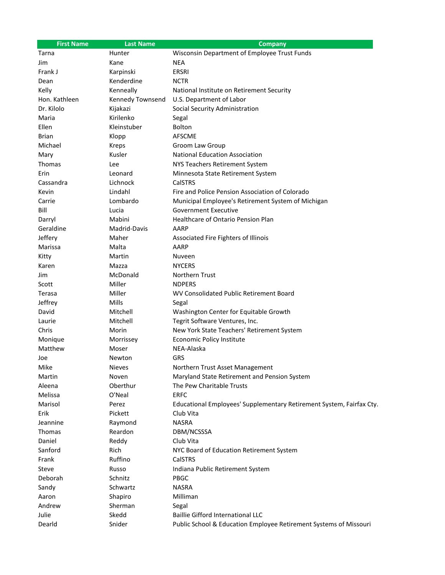| <b>First Name</b>  | <b>Last Name</b>   | <b>Company</b>                                                       |
|--------------------|--------------------|----------------------------------------------------------------------|
| Tarna              | Hunter             | Wisconsin Department of Employee Trust Funds                         |
| Jim                | Kane               | <b>NEA</b>                                                           |
| Frank J            | Karpinski          | <b>ERSRI</b>                                                         |
| Dean               | Kenderdine         | <b>NCTR</b>                                                          |
| Kelly              | Kenneally          | National Institute on Retirement Security                            |
| Hon. Kathleen      | Kennedy Townsend   | U.S. Department of Labor                                             |
| Dr. Kilolo         | Kijakazi           | Social Security Administration                                       |
| Maria              | Kirilenko          | Segal                                                                |
| <b>Ellen</b>       | Kleinstuber        | <b>Bolton</b>                                                        |
| <b>Brian</b>       | Klopp              | <b>AFSCME</b>                                                        |
| Michael            | Kreps              | Groom Law Group                                                      |
| Mary               | Kusler             | <b>National Education Association</b>                                |
| Thomas             | Lee                | NYS Teachers Retirement System                                       |
| Erin               | Leonard            | Minnesota State Retirement System                                    |
| Cassandra          | Lichnock           | CalSTRS                                                              |
| Kevin              | Lindahl            | Fire and Police Pension Association of Colorado                      |
| Carrie             | Lombardo           | Municipal Employee's Retirement System of Michigan                   |
| Bill               | Lucia              | <b>Government Executive</b>                                          |
| Darryl             | Mabini             | Healthcare of Ontario Pension Plan                                   |
| Geraldine          | Madrid-Davis       | AARP                                                                 |
| Jeffery            | Maher              | Associated Fire Fighters of Illinois                                 |
| Marissa            | Malta              | AARP                                                                 |
| Kitty              | Martin             | Nuveen                                                               |
| Karen              | Mazza              | <b>NYCERS</b>                                                        |
| Jim                | McDonald           | Northern Trust                                                       |
| Scott              | Miller             | <b>NDPERS</b>                                                        |
| Terasa             | Miller             | WV Consolidated Public Retirement Board                              |
| Jeffrey            | Mills              | Segal                                                                |
| David              | Mitchell           | Washington Center for Equitable Growth                               |
| Laurie             | Mitchell           | Tegrit Software Ventures, Inc.                                       |
| Chris              | Morin              | New York State Teachers' Retirement System                           |
| Monique            | Morrissey          | Economic Policy Institute                                            |
| Matthew            | Moser              | NEA-Alaska                                                           |
| Joe                | Newton             | <b>GRS</b>                                                           |
| Mike               | Nieves             | Northern Trust Asset Management                                      |
| Martin             | Noven              | Maryland State Retirement and Pension System                         |
| Aleena             | Oberthur           | The Pew Charitable Trusts                                            |
| Melissa            | O'Neal             | <b>ERFC</b>                                                          |
| Marisol            | Perez              | Educational Employees' Supplementary Retirement System, Fairfax Cty. |
| Erik               | Pickett            | Club Vita                                                            |
|                    |                    | <b>NASRA</b>                                                         |
| Jeannine<br>Thomas | Raymond<br>Reardon |                                                                      |
|                    |                    | DBM/NCSSSA                                                           |
| Daniel             | Reddy              | Club Vita                                                            |
| Sanford            | Rich               | NYC Board of Education Retirement System                             |
| Frank              | Ruffino            | CalSTRS                                                              |
| Steve              | Russo              | Indiana Public Retirement System                                     |
| Deborah            | Schnitz            | <b>PBGC</b>                                                          |
| Sandy              | Schwartz           | <b>NASRA</b>                                                         |
| Aaron              | Shapiro            | Milliman                                                             |
| Andrew             | Sherman            | Segal                                                                |
| Julie              | Skedd              | <b>Baillie Gifford International LLC</b>                             |
| Dearld             | Snider             | Public School & Education Employee Retirement Systems of Missouri    |